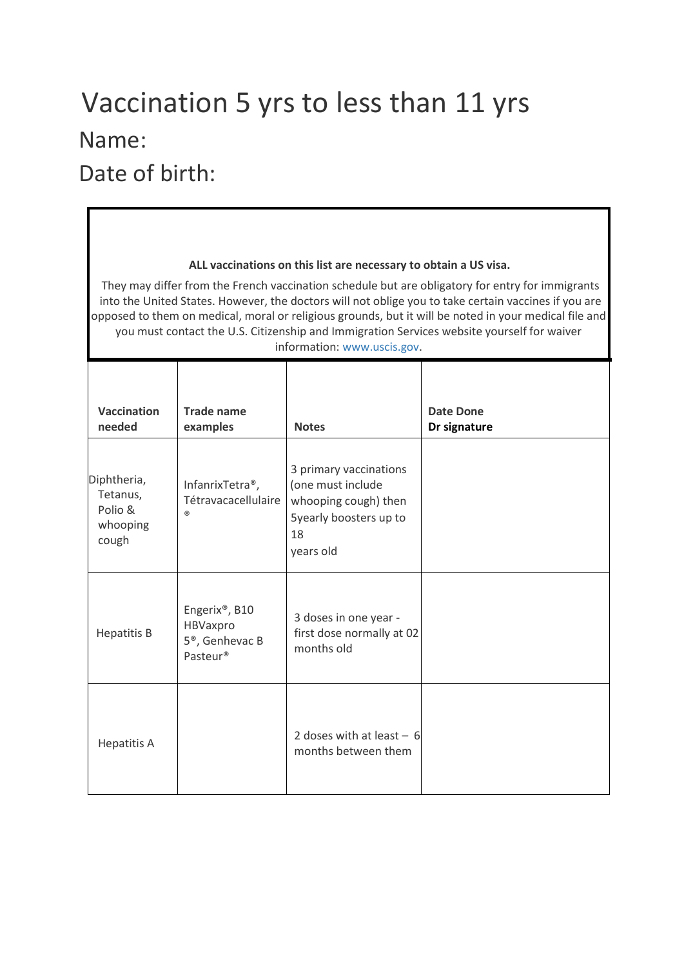## Vaccination 5 yrs to less than 11 yrs Name:

Date of birth:

| ALL vaccinations on this list are necessary to obtain a US visa.<br>They may differ from the French vaccination schedule but are obligatory for entry for immigrants<br>into the United States. However, the doctors will not oblige you to take certain vaccines if you are<br>opposed to them on medical, moral or religious grounds, but it will be noted in your medical file and<br>you must contact the U.S. Citizenship and Immigration Services website yourself for waiver |                                                                      |                                                                                                                  |                           |  |  |
|-------------------------------------------------------------------------------------------------------------------------------------------------------------------------------------------------------------------------------------------------------------------------------------------------------------------------------------------------------------------------------------------------------------------------------------------------------------------------------------|----------------------------------------------------------------------|------------------------------------------------------------------------------------------------------------------|---------------------------|--|--|
| information: www.uscis.gov.                                                                                                                                                                                                                                                                                                                                                                                                                                                         |                                                                      |                                                                                                                  |                           |  |  |
| <b>Vaccination</b><br>needed                                                                                                                                                                                                                                                                                                                                                                                                                                                        | Trade name<br>examples                                               | <b>Notes</b>                                                                                                     | Date Done<br>Dr signature |  |  |
| Diphtheria,<br>Tetanus,<br>Polio &<br>whooping<br>cough                                                                                                                                                                                                                                                                                                                                                                                                                             | InfanrixTetra <sup>®</sup> ,<br>Tétravacacellulaire<br>(R)           | 3 primary vaccinations<br>(one must include<br>whooping cough) then<br>Syearly boosters up to<br>18<br>years old |                           |  |  |
| <b>Hepatitis B</b>                                                                                                                                                                                                                                                                                                                                                                                                                                                                  | Engerix®, B10<br>HBVaxpro<br>5 <sup>®</sup> , Genhevac B<br>Pasteur® | 3 doses in one year -<br>first dose normally at 02<br>months old                                                 |                           |  |  |
| <b>Hepatitis A</b>                                                                                                                                                                                                                                                                                                                                                                                                                                                                  |                                                                      | 2 doses with at least $-6$<br>months between them                                                                |                           |  |  |